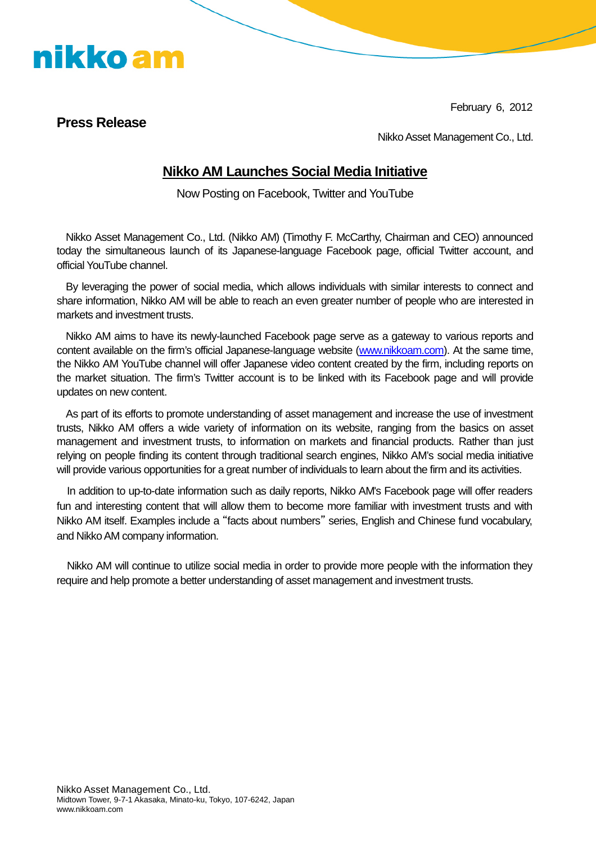February 6, 2012

## **Press Release**

nikko am

Nikko Asset Management Co., Ltd.

## **Nikko AM Launches Social Media Initiative**

Now Posting on Facebook, Twitter and YouTube

Nikko Asset Management Co., Ltd. (Nikko AM) (Timothy F. McCarthy, Chairman and CEO) announced today the simultaneous launch of its Japanese-language Facebook page, official Twitter account, and official YouTube channel.

By leveraging the power of social media, which allows individuals with similar interests to connect and share information, Nikko AM will be able to reach an even greater number of people who are interested in markets and investment trusts.

Nikko AM aims to have its newly-launched Facebook page serve as a gateway to various reports and content available on the firm's official Japanese-language website (www.nikkoam.com). At the same time, the Nikko AM YouTube channel will offer Japanese video content created by the firm, including reports on the market situation. The firm's Twitter account is to be linked with its Facebook page and will provide updates on new content.

As part of its efforts to promote understanding of asset management and increase the use of investment trusts, Nikko AM offers a wide variety of information on its website, ranging from the basics on asset management and investment trusts, to information on markets and financial products. Rather than just relying on people finding its content through traditional search engines, Nikko AM's social media initiative will provide various opportunities for a great number of individuals to learn about the firm and its activities.

In addition to up-to-date information such as daily reports, Nikko AM's Facebook page will offer readers fun and interesting content that will allow them to become more familiar with investment trusts and with Nikko AM itself. Examples include a "facts about numbers" series, English and Chinese fund vocabulary, and Nikko AM company information.

Nikko AM will continue to utilize social media in order to provide more people with the information they require and help promote a better understanding of asset management and investment trusts.